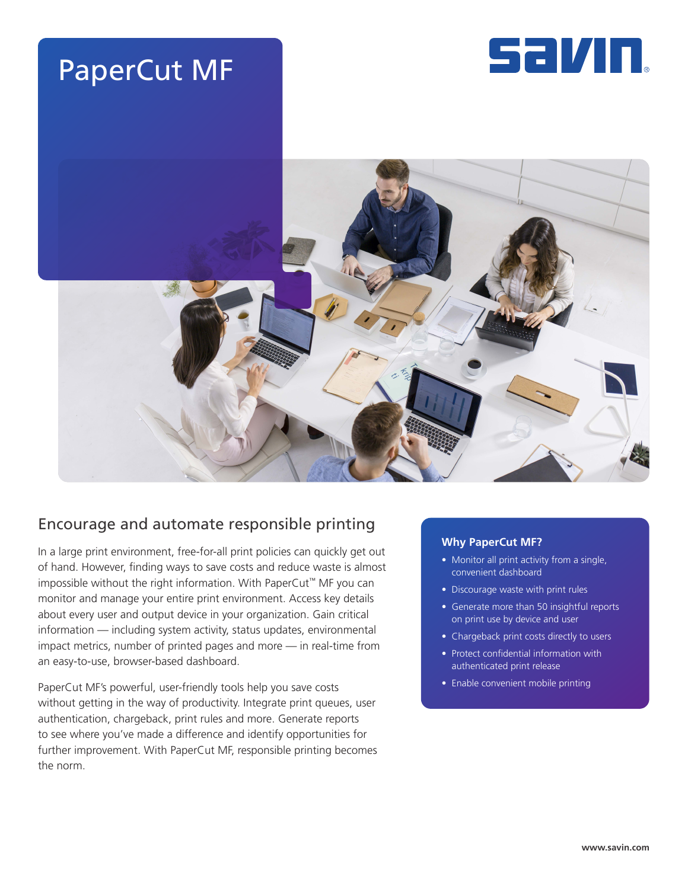





# Encourage and automate responsible printing

In a large print environment, free-for-all print policies can quickly get out of hand. However, finding ways to save costs and reduce waste is almost impossible without the right information. With PaperCut™ MF you can monitor and manage your entire print environment. Access key details about every user and output device in your organization. Gain critical information — including system activity, status updates, environmental impact metrics, number of printed pages and more — in real-time from an easy-to-use, browser-based dashboard.

PaperCut MF's powerful, user-friendly tools help you save costs without getting in the way of productivity. Integrate print queues, user authentication, chargeback, print rules and more. Generate reports to see where you've made a difference and identify opportunities for further improvement. With PaperCut MF, responsible printing becomes the norm.

#### **Why PaperCut MF?**

- Monitor all print activity from a single, convenient dashboard
- Discourage waste with print rules
- Generate more than 50 insightful reports on print use by device and user
- Chargeback print costs directly to users
- Protect confidential information with authenticated print release
- Enable convenient mobile printing